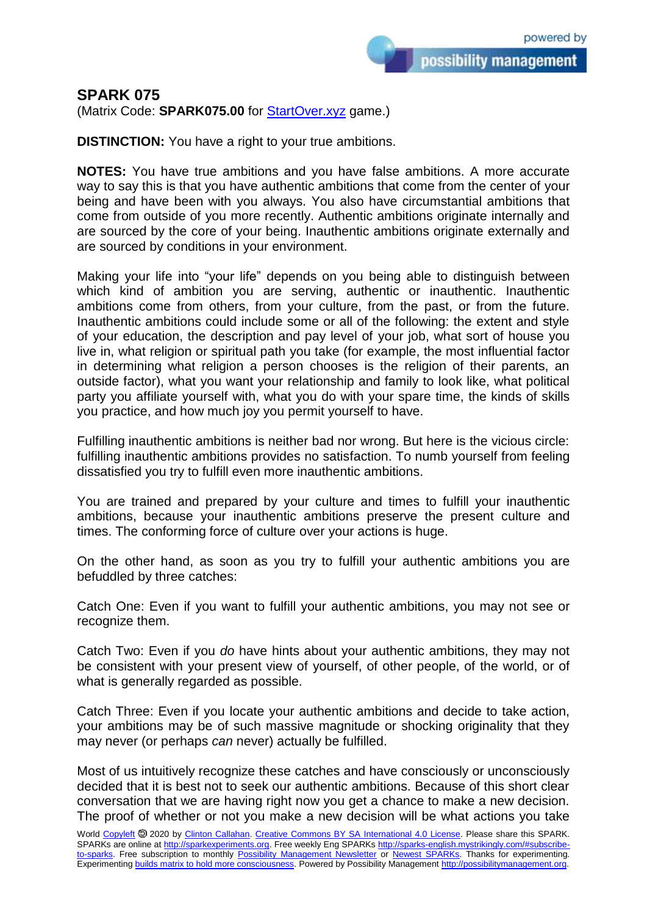possibility management

# **SPARK 075**

(Matrix Code: **SPARK075.00** for **StartOver.xyz** game.)

**DISTINCTION:** You have a right to your true ambitions.

**NOTES:** You have true ambitions and you have false ambitions. A more accurate way to say this is that you have authentic ambitions that come from the center of your being and have been with you always. You also have circumstantial ambitions that come from outside of you more recently. Authentic ambitions originate internally and are sourced by the core of your being. Inauthentic ambitions originate externally and are sourced by conditions in your environment.

Making your life into "your life" depends on you being able to distinguish between which kind of ambition you are serving, authentic or inauthentic. Inauthentic ambitions come from others, from your culture, from the past, or from the future. Inauthentic ambitions could include some or all of the following: the extent and style of your education, the description and pay level of your job, what sort of house you live in, what religion or spiritual path you take (for example, the most influential factor in determining what religion a person chooses is the religion of their parents, an outside factor), what you want your relationship and family to look like, what political party you affiliate yourself with, what you do with your spare time, the kinds of skills you practice, and how much joy you permit yourself to have.

Fulfilling inauthentic ambitions is neither bad nor wrong. But here is the vicious circle: fulfilling inauthentic ambitions provides no satisfaction. To numb yourself from feeling dissatisfied you try to fulfill even more inauthentic ambitions.

You are trained and prepared by your culture and times to fulfill your inauthentic ambitions, because your inauthentic ambitions preserve the present culture and times. The conforming force of culture over your actions is huge.

On the other hand, as soon as you try to fulfill your authentic ambitions you are befuddled by three catches:

Catch One: Even if you want to fulfill your authentic ambitions, you may not see or recognize them.

Catch Two: Even if you *do* have hints about your authentic ambitions, they may not be consistent with your present view of yourself, of other people, of the world, or of what is generally regarded as possible.

Catch Three: Even if you locate your authentic ambitions and decide to take action, your ambitions may be of such massive magnitude or shocking originality that they may never (or perhaps *can* never) actually be fulfilled.

Most of us intuitively recognize these catches and have consciously or unconsciously decided that it is best not to seek our authentic ambitions. Because of this short clear conversation that we are having right now you get a chance to make a new decision. The proof of whether or not you make a new decision will be what actions you take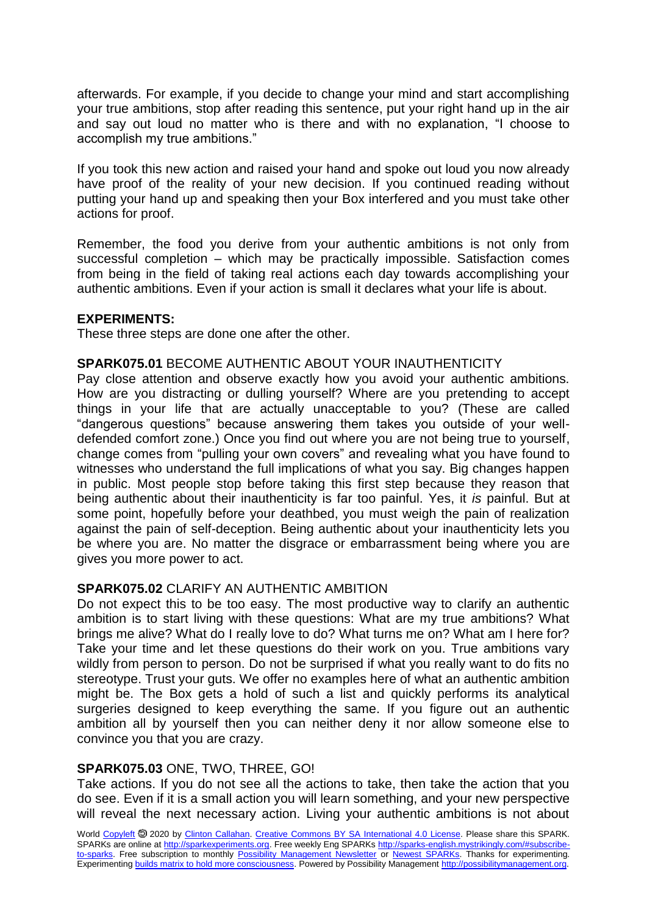afterwards. For example, if you decide to change your mind and start accomplishing your true ambitions, stop after reading this sentence, put your right hand up in the air and say out loud no matter who is there and with no explanation, "I choose to accomplish my true ambitions."

If you took this new action and raised your hand and spoke out loud you now already have proof of the reality of your new decision. If you continued reading without putting your hand up and speaking then your Box interfered and you must take other actions for proof.

Remember, the food you derive from your authentic ambitions is not only from successful completion – which may be practically impossible. Satisfaction comes from being in the field of taking real actions each day towards accomplishing your authentic ambitions. Even if your action is small it declares what your life is about.

### **EXPERIMENTS:**

These three steps are done one after the other.

### **SPARK075.01** BECOME AUTHENTIC ABOUT YOUR INAUTHENTICITY

Pay close attention and observe exactly how you avoid your authentic ambitions. How are you distracting or dulling yourself? Where are you pretending to accept things in your life that are actually unacceptable to you? (These are called "dangerous questions" because answering them takes you outside of your welldefended comfort zone.) Once you find out where you are not being true to yourself, change comes from "pulling your own covers" and revealing what you have found to witnesses who understand the full implications of what you say. Big changes happen in public. Most people stop before taking this first step because they reason that being authentic about their inauthenticity is far too painful. Yes, it *is* painful. But at some point, hopefully before your deathbed, you must weigh the pain of realization against the pain of self-deception. Being authentic about your inauthenticity lets you be where you are. No matter the disgrace or embarrassment being where you are gives you more power to act.

#### **SPARK075.02** CLARIFY AN AUTHENTIC AMBITION

Do not expect this to be too easy. The most productive way to clarify an authentic ambition is to start living with these questions: What are my true ambitions? What brings me alive? What do I really love to do? What turns me on? What am I here for? Take your time and let these questions do their work on you. True ambitions vary wildly from person to person. Do not be surprised if what you really want to do fits no stereotype. Trust your guts. We offer no examples here of what an authentic ambition might be. The Box gets a hold of such a list and quickly performs its analytical surgeries designed to keep everything the same. If you figure out an authentic ambition all by yourself then you can neither deny it nor allow someone else to convince you that you are crazy.

## **SPARK075.03** ONE, TWO, THREE, GO!

Take actions. If you do not see all the actions to take, then take the action that you do see. Even if it is a small action you will learn something, and your new perspective will reveal the next necessary action. Living your authentic ambitions is not about